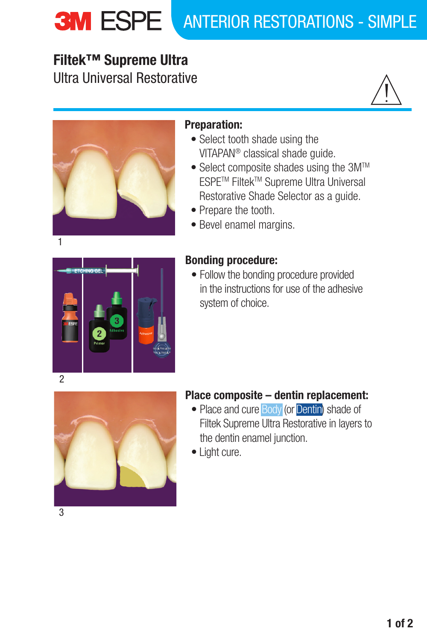# **3M ESPE ANTERIOR RESTORATIONS - SIMPLE**

## **Filtek™ Supreme Ultra**  Ultra Universal Restorative





## Preparation:

- Select tooth shade using the VITAPAN® classical shade guide.
- Select composite shades using the 3M<sup>™</sup> ESPETM FiltekTM Supreme Ultra Universal Restorative Shade Selector as a guide.
- Prepare the tooth.
- Bevel enamel margins.



## Bonding procedure:

• Follow the bonding procedure provided in the instructions for use of the adhesive system of choice.



## Place composite – dentin replacement:

- Place and cure **Body** (or **Dentin**) shade of Filtek Supreme Ultra Restorative in layers to the dentin enamel junction.
- Light cure.